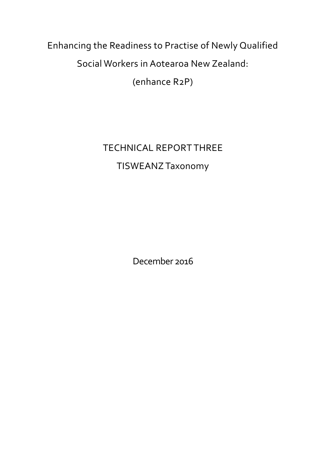Enhancing the Readiness to Practise of Newly Qualified Social Workers in Aotearoa New Zealand:

(enhance R2P)

TECHNICAL REPORT THREE TISWEANZ Taxonomy

December 2016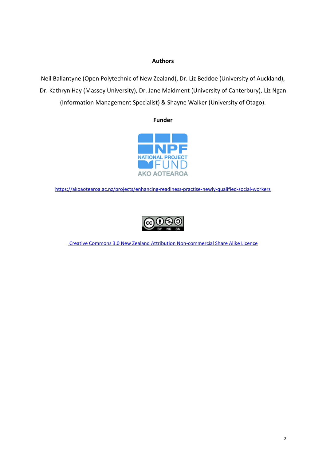### **Authors**

Neil Ballantyne (Open Polytechnic of New Zealand), Dr. Liz Beddoe (University of Auckland), Dr. Kathryn Hay (Massey University), Dr. Jane Maidment (University of Canterbury), Liz Ngan (Information Management Specialist) & Shayne Walker (University of Otago).

**Funder**



<https://akoaotearoa.ac.nz/projects/enhancing-readiness-practise-newly-qualified-social-workers>



[Creative Commons 3.0 New Zealand Attribution Non-commercial Share Alike Licence](https://creativecommons.org/licenses/by-nc-sa/3.0/nz/)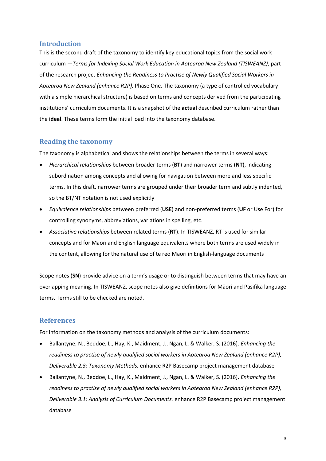## **Introduction**

This is the second draft of the taxonomy to identify key educational topics from the social work curriculum —*Terms for Indexing Social Work Education in Aotearoa New Zealand (TISWEANZ)*, part of the research project *Enhancing the Readiness to Practise of Newly Qualified Social Workers in Aotearoa New Zealand (enhance R2P),* Phase One. The taxonomy (a type of controlled vocabulary with a simple hierarchical structure) is based on terms and concepts derived from the participating institutions' curriculum documents. It is a snapshot of the **actual** described curriculum rather than the **ideal**. These terms form the initial load into the taxonomy database.

#### **Reading the taxonomy**

The taxonomy is alphabetical and shows the relationships between the terms in several ways:

- *Hierarchical relationships* between broader terms (**BT**) and narrower terms (**NT**), indicating subordination among concepts and allowing for navigation between more and less specific terms. In this draft, narrower terms are grouped under their broader term and subtly indented, so the BT/NT notation is not used explicitly
- *Equivalence relationships* between preferred (**USE**) and non-preferred terms (**UF** or Use For) for controlling synonyms, abbreviations, variations in spelling, etc.
- *Associative relationships* between related terms (**RT**). In TISWEANZ, RT is used for similar concepts and for Māori and English language equivalents where both terms are used widely in the content, allowing for the natural use of te reo Māori in English-language documents

Scope notes (**SN**) provide advice on a term's usage or to distinguish between terms that may have an overlapping meaning. In TISWEANZ, scope notes also give definitions for Māori and Pasifika language terms. Terms still to be checked are noted.

#### **References**

For information on the taxonomy methods and analysis of the curriculum documents:

- Ballantyne, N., Beddoe, L., Hay, K., Maidment, J., Ngan, L. & Walker, S. (2016). *Enhancing the readiness to practise of newly qualified social workers in Aotearoa New Zealand (enhance R2P), Deliverable 2.3: Taxonomy Methods.* enhance R2P Basecamp project management database
- Ballantyne, N., Beddoe, L., Hay, K., Maidment, J., Ngan, L. & Walker, S. (2016). *Enhancing the readiness to practise of newly qualified social workers in Aotearoa New Zealand (enhance R2P), Deliverable 3.1: Analysis of Curriculum Documents.* enhance R2P Basecamp project management database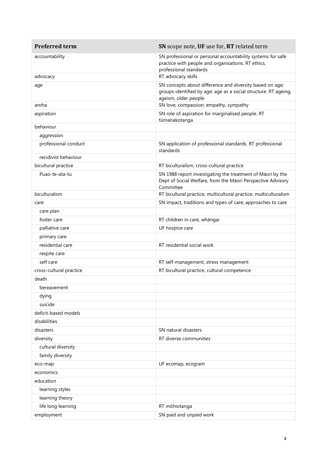| <b>Preferred term</b>   | SN scope note, UF use for, RT related term                                                                                                          |
|-------------------------|-----------------------------------------------------------------------------------------------------------------------------------------------------|
| accountability          | SN professional or personal accountability systems for safe<br>practice with people and organisations. RT ethics,<br>professional standards         |
| advocacy                | RT advocacy skills                                                                                                                                  |
| age                     | SN concepts about difference and diversity based on age;<br>groups identified by age; age as a social structure. RT ageing,<br>ageism, older people |
| aroha                   | SN love, compassion, empathy, sympathy                                                                                                              |
| aspiration              | SN role of aspiration for marginalised people. RT<br>tūmanakotanga                                                                                  |
| behaviour               |                                                                                                                                                     |
| aggression              |                                                                                                                                                     |
| professional conduct    | SN application of professional standards. RT professional<br>standards                                                                              |
| recidivist behaviour    |                                                                                                                                                     |
| bicultural practice     | RT biculturalism, cross-cultural practice                                                                                                           |
| Puao-te-ata-tu          | SN 1988 report investigating the treatment of Māori by the<br>Dept of Social Welfare, from the Māori Perspective Advisory<br>Committee              |
| biculturalism           | RT bicultural practice, multicultural practice, multiculturalism                                                                                    |
| care                    | SN impact, traditions and types of care; approaches to care                                                                                         |
| care plan               |                                                                                                                                                     |
| foster care             | RT children in care, whāngai                                                                                                                        |
| palliative care         | UF hospice care                                                                                                                                     |
| primary care            |                                                                                                                                                     |
| residential care        | RT residential social work                                                                                                                          |
| respite care            |                                                                                                                                                     |
| self care               | RT self-management, stress management                                                                                                               |
| cross-cultural practice | RT bicultural practice, cultural competence                                                                                                         |
| death                   |                                                                                                                                                     |
| bereavement             |                                                                                                                                                     |
| dying                   |                                                                                                                                                     |
| suicide                 |                                                                                                                                                     |
| deficit-based models    |                                                                                                                                                     |
| disabilities            |                                                                                                                                                     |
| disasters               | SN natural disasters                                                                                                                                |
| diversity               | RT diverse communities                                                                                                                              |
| cultural diversity      |                                                                                                                                                     |
| family diversity        |                                                                                                                                                     |
| eco-map                 | UF ecomap, ecogram                                                                                                                                  |
| economics               |                                                                                                                                                     |
| education               |                                                                                                                                                     |
| learning styles         |                                                                                                                                                     |
| learning theory         |                                                                                                                                                     |
| life long learning      | RT mōhiotanga                                                                                                                                       |
| employment              | SN paid and unpaid work                                                                                                                             |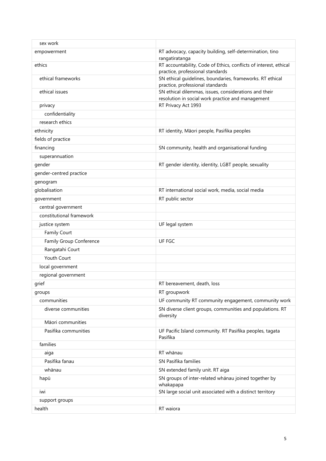| sex work                 |                                                                                                            |
|--------------------------|------------------------------------------------------------------------------------------------------------|
| empowerment              | RT advocacy, capacity building, self-determination, tino<br>rangatiratanga                                 |
| ethics                   | RT accountability, Code of Ethics, conflicts of interest, ethical<br>practice, professional standards      |
| ethical frameworks       | SN ethical guidelines, boundaries, frameworks. RT ethical<br>practice, professional standards              |
| ethical issues           | SN ethical dilemmas, issues, considerations and their<br>resolution in social work practice and management |
| privacy                  | RT Privacy Act 1993                                                                                        |
| confidentiality          |                                                                                                            |
| research ethics          |                                                                                                            |
| ethnicity                | RT identity, Māori people, Pasifika peoples                                                                |
| fields of practice       |                                                                                                            |
| financing                | SN community, health and organisational funding                                                            |
| superannuation           |                                                                                                            |
| gender                   | RT gender identity, identity, LGBT people, sexuality                                                       |
| gender-centred practice  |                                                                                                            |
| genogram                 |                                                                                                            |
| globalisation            | RT international social work, media, social media                                                          |
| government               | RT public sector                                                                                           |
| central government       |                                                                                                            |
| constitutional framework |                                                                                                            |
| justice system           | UF legal system                                                                                            |
| Family Court             |                                                                                                            |
| Family Group Conference  | UF FGC                                                                                                     |
| Rangatahi Court          |                                                                                                            |
| Youth Court              |                                                                                                            |
| local government         |                                                                                                            |
| regional government      |                                                                                                            |
| grief                    | RT bereavement, death, loss                                                                                |
| groups                   | RT groupwork                                                                                               |
| communities              | UF community RT community engagement, community work                                                       |
| diverse communities      | SN diverse client groups, communities and populations. RT<br>diversity                                     |
| Māori communities        |                                                                                                            |
| Pasifika communities     | UF Pacific Island community. RT Pasifika peoples, tagata<br>Pasifika                                       |
| families                 |                                                                                                            |
| aiga                     | RT whānau                                                                                                  |
| Pasifika fanau           | SN Pasifika families                                                                                       |
| whānau                   | SN extended family unit. RT aiga                                                                           |
| hapū                     | SN groups of inter-related whānau joined together by<br>whakapapa                                          |
| iwi                      | SN large social unit associated with a distinct territory                                                  |
| support groups           |                                                                                                            |
| health                   | RT waiora                                                                                                  |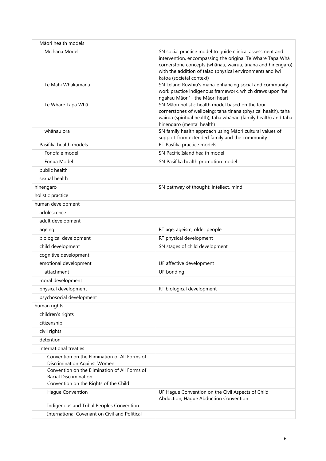| Māori health models                                                           |                                                                                                                                                                                                                                                                                |
|-------------------------------------------------------------------------------|--------------------------------------------------------------------------------------------------------------------------------------------------------------------------------------------------------------------------------------------------------------------------------|
| Meihana Model                                                                 | SN social practice model to guide clinical assessment and<br>intervention, encompassing the original Te Whare Tapa Whā<br>cornerstone concepts (whānau, wairua, tinana and hinengaro)<br>with the addition of taiao (physical environment) and iwi<br>katoa (societal context) |
| Te Mahi Whakamana                                                             | SN Leland Ruwhiu's mana-enhancing social and community<br>work practice indigenous framework, which draws upon 'he<br>ngakau Māori' - the Māori heart                                                                                                                          |
| Te Whare Tapa Whā                                                             | SN Māori holistic health model based on the four<br>cornerstones of wellbeing: taha tinana (physical health), taha<br>wairua (spiritual health), taha whānau (family health) and taha<br>hinengaro (mental health)                                                             |
| whānau ora                                                                    | SN family health approach using Māori cultural values of<br>support from extended family and the community                                                                                                                                                                     |
| Pasifika health models                                                        | RT Pasfika practice models                                                                                                                                                                                                                                                     |
| Fonofale model                                                                | SN Pacific Island health model                                                                                                                                                                                                                                                 |
| Fonua Model                                                                   | SN Pasifika health promotion model                                                                                                                                                                                                                                             |
| public health                                                                 |                                                                                                                                                                                                                                                                                |
| sexual health                                                                 |                                                                                                                                                                                                                                                                                |
| hinengaro                                                                     | SN pathway of thought; intellect, mind                                                                                                                                                                                                                                         |
| holistic practice                                                             |                                                                                                                                                                                                                                                                                |
| human development                                                             |                                                                                                                                                                                                                                                                                |
| adolescence                                                                   |                                                                                                                                                                                                                                                                                |
| adult development                                                             |                                                                                                                                                                                                                                                                                |
| ageing                                                                        | RT age, ageism, older people                                                                                                                                                                                                                                                   |
| biological development                                                        | RT physical development                                                                                                                                                                                                                                                        |
| child development                                                             | SN stages of child development                                                                                                                                                                                                                                                 |
| cognitive development                                                         |                                                                                                                                                                                                                                                                                |
| emotional development                                                         | UF affective development                                                                                                                                                                                                                                                       |
| attachment                                                                    | UF bonding                                                                                                                                                                                                                                                                     |
| moral development                                                             |                                                                                                                                                                                                                                                                                |
| physical development                                                          | RT biological development                                                                                                                                                                                                                                                      |
| psychosocial development                                                      |                                                                                                                                                                                                                                                                                |
| human rights                                                                  |                                                                                                                                                                                                                                                                                |
| children's rights                                                             |                                                                                                                                                                                                                                                                                |
| citizenship                                                                   |                                                                                                                                                                                                                                                                                |
| civil rights                                                                  |                                                                                                                                                                                                                                                                                |
| detention                                                                     |                                                                                                                                                                                                                                                                                |
| international treaties                                                        |                                                                                                                                                                                                                                                                                |
| Convention on the Elimination of All Forms of<br>Discrimination Against Women |                                                                                                                                                                                                                                                                                |
| Convention on the Elimination of All Forms of                                 |                                                                                                                                                                                                                                                                                |
| Racial Discrimination<br>Convention on the Rights of the Child                |                                                                                                                                                                                                                                                                                |
| Hague Convention                                                              | UF Hague Convention on the Civil Aspects of Child                                                                                                                                                                                                                              |
|                                                                               | Abduction; Hague Abduction Convention                                                                                                                                                                                                                                          |
| Indigenous and Tribal Peoples Convention                                      |                                                                                                                                                                                                                                                                                |
| International Covenant on Civil and Political                                 |                                                                                                                                                                                                                                                                                |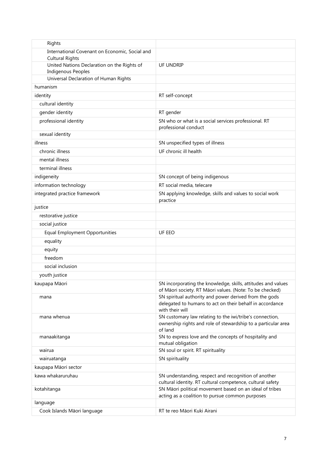| Rights                                                                   |                                                                                                                                       |
|--------------------------------------------------------------------------|---------------------------------------------------------------------------------------------------------------------------------------|
| International Covenant on Economic, Social and<br><b>Cultural Rights</b> |                                                                                                                                       |
| United Nations Declaration on the Rights of<br><b>Indigenous Peoples</b> | UF UNDRIP                                                                                                                             |
| Universal Declaration of Human Rights                                    |                                                                                                                                       |
| humanism                                                                 |                                                                                                                                       |
| identity                                                                 | RT self-concept                                                                                                                       |
| cultural identity                                                        |                                                                                                                                       |
| gender identity                                                          | RT gender                                                                                                                             |
| professional identity                                                    | SN who or what is a social services professional. RT<br>professional conduct                                                          |
| sexual identity                                                          |                                                                                                                                       |
| illness                                                                  | SN unspecified types of illness                                                                                                       |
| chronic illness                                                          | UF chronic ill health                                                                                                                 |
| mental illness                                                           |                                                                                                                                       |
| terminal illness                                                         |                                                                                                                                       |
| indigeneity                                                              | SN concept of being indigenous                                                                                                        |
| information technology                                                   | RT social media, telecare                                                                                                             |
| integrated practice framework                                            | SN applying knowledge, skills and values to social work<br>practice                                                                   |
| justice                                                                  |                                                                                                                                       |
| restorative justice                                                      |                                                                                                                                       |
| social justice                                                           |                                                                                                                                       |
| <b>Equal Employment Opportunities</b>                                    | UF EEO                                                                                                                                |
| equality                                                                 |                                                                                                                                       |
| equity                                                                   |                                                                                                                                       |
| freedom                                                                  |                                                                                                                                       |
| social inclusion                                                         |                                                                                                                                       |
| youth justice                                                            |                                                                                                                                       |
| kaupapa Māori                                                            | SN incorporating the knowledge, skills, attitudes and values<br>of Māori society. RT Māori values. (Note: To be checked)              |
| mana                                                                     | SN spiritual authority and power derived from the gods<br>delegated to humans to act on their behalf in accordance<br>with their will |
| mana whenua                                                              | SN customary law relating to the iwi/tribe's connection,<br>ownership rights and role of stewardship to a particular area<br>of land  |
| manaakitanga                                                             | SN to express love and the concepts of hospitality and<br>mutual obligation                                                           |
| wairua                                                                   | SN soul or spirit. RT spirituality                                                                                                    |
| wairuatanga                                                              | SN spirituality                                                                                                                       |
| kaupapa Māori sector                                                     |                                                                                                                                       |
| kawa whakaruruhau                                                        | SN understanding, respect and recognition of another<br>cultural identity. RT cultural competence, cultural safety                    |
| kotahitanga                                                              | SN Māori political movement based on an ideal of tribes<br>acting as a coalition to pursue common purposes                            |
| language                                                                 |                                                                                                                                       |
| Cook Islands Māori language                                              | RT te reo Māori Kuki Airani                                                                                                           |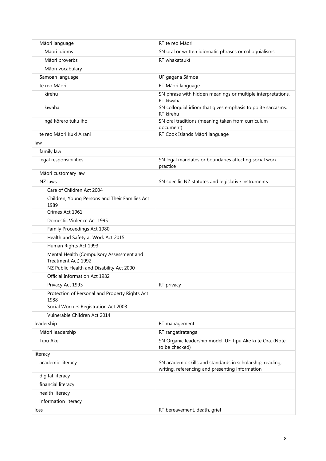| Māori language                                                  | RT te reo Māori                                                                                              |
|-----------------------------------------------------------------|--------------------------------------------------------------------------------------------------------------|
| Māori idioms                                                    | SN oral or written idiomatic phrases or colloquialisms                                                       |
| Māori proverbs                                                  | RT whakataukī                                                                                                |
| Māori vocabulary                                                |                                                                                                              |
| Samoan language                                                 | UF gagana Sāmoa                                                                                              |
| te reo Māori                                                    | RT Māori language                                                                                            |
| kīrehu                                                          | SN phrase with hidden meanings or multiple interpretations.<br>RT kīwaha                                     |
| kīwaha                                                          | SN colloquial idiom that gives emphasis to polite sarcasms.<br>RT kīrehu                                     |
| ngā kōrero tuku iho                                             | SN oral traditions (meaning taken from curriculum<br>document)                                               |
| te reo Māori Kuki Airani                                        | RT Cook Islands Māori language                                                                               |
| law                                                             |                                                                                                              |
| family law                                                      |                                                                                                              |
| legal responsibilities                                          | SN legal mandates or boundaries affecting social work<br>practice                                            |
| Māori customary law                                             |                                                                                                              |
| NZ laws                                                         | SN specific NZ statutes and legislative instruments                                                          |
| Care of Children Act 2004                                       |                                                                                                              |
| Children, Young Persons and Their Families Act<br>1989          |                                                                                                              |
| Crimes Act 1961                                                 |                                                                                                              |
| Domestic Violence Act 1995                                      |                                                                                                              |
| Family Proceedings Act 1980                                     |                                                                                                              |
| Health and Safety at Work Act 2015                              |                                                                                                              |
| Human Rights Act 1993                                           |                                                                                                              |
| Mental Health (Compulsory Assessment and                        |                                                                                                              |
| Treatment Act) 1992<br>NZ Public Health and Disability Act 2000 |                                                                                                              |
| Official Information Act 1982                                   |                                                                                                              |
| Privacy Act 1993                                                | RT privacy                                                                                                   |
| Protection of Personal and Property Rights Act<br>1988          |                                                                                                              |
| Social Workers Registration Act 2003                            |                                                                                                              |
| Vulnerable Children Act 2014                                    |                                                                                                              |
| leadership                                                      | RT management                                                                                                |
| Māori leadership                                                | RT rangatiratanga                                                                                            |
| Tipu Ake                                                        | SN Organic leadership model. UF Tipu Ake ki te Ora. (Note:                                                   |
|                                                                 | to be checked)                                                                                               |
| literacy                                                        |                                                                                                              |
| academic literacy                                               | SN academic skills and standards in scholarship, reading,<br>writing, referencing and presenting information |
| digital literacy                                                |                                                                                                              |
| financial literacy                                              |                                                                                                              |
| health literacy                                                 |                                                                                                              |
| information literacy                                            |                                                                                                              |
| loss                                                            | RT bereavement, death, grief                                                                                 |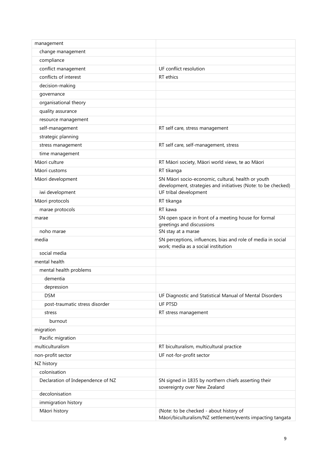| management                        |                                                                                                       |
|-----------------------------------|-------------------------------------------------------------------------------------------------------|
| change management                 |                                                                                                       |
| compliance                        |                                                                                                       |
| conflict management               | UF conflict resolution                                                                                |
| conflicts of interest             | RT ethics                                                                                             |
| decision-making                   |                                                                                                       |
| governance                        |                                                                                                       |
| organisational theory             |                                                                                                       |
| quality assurance                 |                                                                                                       |
| resource management               |                                                                                                       |
| self-management                   | RT self care, stress management                                                                       |
| strategic planning                |                                                                                                       |
| stress management                 | RT self care, self-management, stress                                                                 |
| time management                   |                                                                                                       |
| Māori culture                     | RT Māori society, Māori world views, te ao Māori                                                      |
| Māori customs                     | RT tikanga                                                                                            |
| Māori development                 | SN Māori socio-economic, cultural, health or youth                                                    |
|                                   | development, strategies and initiatives (Note: to be checked)                                         |
| iwi development                   | UF tribal development                                                                                 |
| Māori protocols                   | RT tikanga                                                                                            |
| marae protocols                   | RT kawa                                                                                               |
| marae                             | SN open space in front of a meeting house for formal<br>greetings and discussions                     |
| noho marae                        | SN stay at a marae                                                                                    |
| media                             | SN perceptions, influences, bias and role of media in social<br>work; media as a social institution   |
| social media                      |                                                                                                       |
| mental health                     |                                                                                                       |
| mental health problems            |                                                                                                       |
| dementia                          |                                                                                                       |
| depression                        |                                                                                                       |
| <b>DSM</b>                        | UF Diagnostic and Statistical Manual of Mental Disorders                                              |
| post-traumatic stress disorder    | UF PTSD                                                                                               |
| stress                            | RT stress management                                                                                  |
| burnout                           |                                                                                                       |
| migration                         |                                                                                                       |
| Pacific migration                 |                                                                                                       |
| multiculturalism                  | RT biculturalism, multicultural practice                                                              |
| non-profit sector                 | UF not-for-profit sector                                                                              |
| NZ history                        |                                                                                                       |
| colonisation                      |                                                                                                       |
| Declaration of Independence of NZ | SN signed in 1835 by northern chiefs asserting their<br>sovereignty over New Zealand                  |
| decolonisation                    |                                                                                                       |
| immigration history               |                                                                                                       |
| Māori history                     | (Note: to be checked - about history of<br>Māori/biculturalism/NZ settlement/events impacting tangata |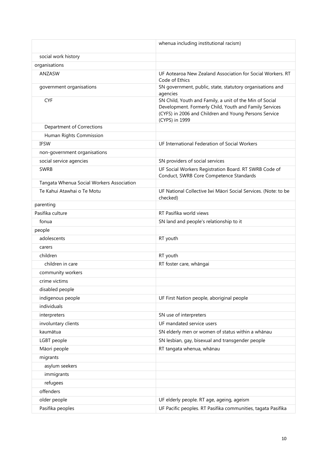|                                           | whenua including institutional racism)                                                                                                                                                       |
|-------------------------------------------|----------------------------------------------------------------------------------------------------------------------------------------------------------------------------------------------|
| social work history                       |                                                                                                                                                                                              |
| organisations                             |                                                                                                                                                                                              |
| ANZASW                                    | UF Aotearoa New Zealand Association for Social Workers, RT<br>Code of Ethics                                                                                                                 |
| government organisations                  | SN government, public, state, statutory organisations and<br>agencies                                                                                                                        |
| <b>CYF</b>                                | SN Child, Youth and Family, a unit of the Min of Social<br>Development. Formerly Child, Youth and Family Services<br>(CYFS) in 2006 and Children and Young Persons Service<br>(CYPS) in 1999 |
| Department of Corrections                 |                                                                                                                                                                                              |
| Human Rights Commission                   |                                                                                                                                                                                              |
| <b>IFSW</b>                               | UF International Federation of Social Workers                                                                                                                                                |
| non-government organisations              |                                                                                                                                                                                              |
| social service agencies                   | SN providers of social services                                                                                                                                                              |
| <b>SWRB</b>                               | UF Social Workers Registration Board. RT SWRB Code of<br>Conduct, SWRB Core Competence Standards                                                                                             |
| Tangata Whenua Social Workers Association |                                                                                                                                                                                              |
| Te Kahui Atawhai o Te Motu                | UF National Collective Iwi Māori Social Services. (Note: to be<br>checked)                                                                                                                   |
| parenting                                 |                                                                                                                                                                                              |
| Pasifika culture                          | RT Pasifika world views                                                                                                                                                                      |
| fonua                                     | SN land and people's relationship to it                                                                                                                                                      |
| people                                    |                                                                                                                                                                                              |
| adolescents                               | RT youth                                                                                                                                                                                     |
| carers                                    |                                                                                                                                                                                              |
| children                                  | RT youth                                                                                                                                                                                     |
| children in care                          | RT foster care, whāngai                                                                                                                                                                      |
| community workers                         |                                                                                                                                                                                              |
| crime victims                             |                                                                                                                                                                                              |
| disabled people                           |                                                                                                                                                                                              |
| indigenous people                         | UF First Nation people, aboriginal people                                                                                                                                                    |
| individuals                               |                                                                                                                                                                                              |
| interpreters                              | SN use of interpreters                                                                                                                                                                       |
| involuntary clients                       | UF mandated service users                                                                                                                                                                    |
| kaumātua                                  | SN elderly men or women of status within a whānau                                                                                                                                            |
| LGBT people                               | SN lesbian, gay, bisexual and transgender people                                                                                                                                             |
| Māori people                              | RT tangata whenua, whānau                                                                                                                                                                    |
| migrants                                  |                                                                                                                                                                                              |
| asylum seekers                            |                                                                                                                                                                                              |
| immigrants                                |                                                                                                                                                                                              |
| refugees                                  |                                                                                                                                                                                              |
| offenders                                 |                                                                                                                                                                                              |
| older people                              | UF elderly people. RT age, ageing, ageism                                                                                                                                                    |
| Pasifika peoples                          | UF Pacific peoples. RT Pasifika communities, tagata Pasifika                                                                                                                                 |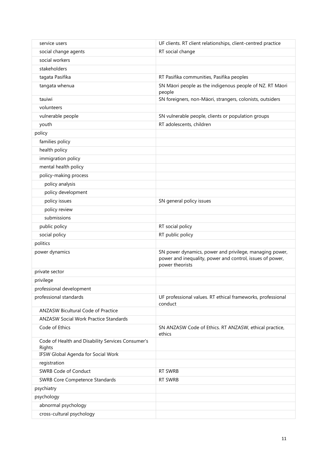| service users                                               | UF clients. RT client relationships, client-centred practice                                                                            |
|-------------------------------------------------------------|-----------------------------------------------------------------------------------------------------------------------------------------|
| social change agents                                        | RT social change                                                                                                                        |
| social workers                                              |                                                                                                                                         |
| stakeholders                                                |                                                                                                                                         |
| tagata Pasifika                                             | RT Pasifika communities, Pasifika peoples                                                                                               |
| tangata whenua                                              | SN Māori people as the indigenous people of NZ. RT Māori<br>people                                                                      |
| tauiwi                                                      | SN foreigners, non-Māori, strangers, colonists, outsiders                                                                               |
| volunteers                                                  |                                                                                                                                         |
| vulnerable people                                           | SN vulnerable people, clients or population groups                                                                                      |
| youth                                                       | RT adolescents, children                                                                                                                |
| policy                                                      |                                                                                                                                         |
| families policy                                             |                                                                                                                                         |
| health policy                                               |                                                                                                                                         |
| immigration policy                                          |                                                                                                                                         |
| mental health policy                                        |                                                                                                                                         |
| policy-making process                                       |                                                                                                                                         |
| policy analysis                                             |                                                                                                                                         |
| policy development                                          |                                                                                                                                         |
| policy issues                                               | SN general policy issues                                                                                                                |
| policy review                                               |                                                                                                                                         |
| submissions                                                 |                                                                                                                                         |
| public policy                                               | RT social policy                                                                                                                        |
| social policy                                               | RT public policy                                                                                                                        |
| politics                                                    |                                                                                                                                         |
| power dynamics                                              | SN power dynamics, power and privilege, managing power,<br>power and inequality, power and control, issues of power,<br>power theorists |
| private sector                                              |                                                                                                                                         |
| privilege                                                   |                                                                                                                                         |
| professional development                                    |                                                                                                                                         |
| professional standards                                      | UF professional values. RT ethical frameworks, professional<br>conduct                                                                  |
| <b>ANZASW Bicultural Code of Practice</b>                   |                                                                                                                                         |
| <b>ANZASW Social Work Practice Standards</b>                |                                                                                                                                         |
| Code of Ethics                                              | SN ANZASW Code of Ethics. RT ANZASW, ethical practice,<br>ethics                                                                        |
| Code of Health and Disability Services Consumer's<br>Rights |                                                                                                                                         |
| IFSW Global Agenda for Social Work                          |                                                                                                                                         |
| registration                                                |                                                                                                                                         |
| <b>SWRB Code of Conduct</b>                                 | RT SWRB                                                                                                                                 |
| <b>SWRB Core Competence Standards</b>                       | RT SWRB                                                                                                                                 |
| psychiatry                                                  |                                                                                                                                         |
| psychology                                                  |                                                                                                                                         |
| abnormal psychology                                         |                                                                                                                                         |
| cross-cultural psychology                                   |                                                                                                                                         |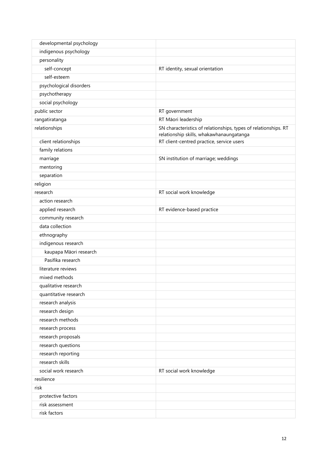| developmental psychology |                                                                 |
|--------------------------|-----------------------------------------------------------------|
| indigenous psychology    |                                                                 |
| personality              |                                                                 |
| self-concept             | RT identity, sexual orientation                                 |
| self-esteem              |                                                                 |
| psychological disorders  |                                                                 |
| psychotherapy            |                                                                 |
| social psychology        |                                                                 |
| public sector            | RT government                                                   |
| rangatiratanga           | RT Māori leadership                                             |
| relationships            | SN characteristics of relationships, types of relationships. RT |
|                          | relationship skills, whakawhanaungatanga                        |
| client relationships     | RT client-centred practice, service users                       |
| family relations         |                                                                 |
| marriage                 | SN institution of marriage; weddings                            |
| mentoring                |                                                                 |
| separation               |                                                                 |
| religion                 |                                                                 |
| research                 | RT social work knowledge                                        |
| action research          |                                                                 |
| applied research         | RT evidence-based practice                                      |
| community research       |                                                                 |
| data collection          |                                                                 |
| ethnography              |                                                                 |
| indigenous research      |                                                                 |
| kaupapa Māori research   |                                                                 |
| Pasifika research        |                                                                 |
| literature reviews       |                                                                 |
| mixed methods            |                                                                 |
| qualitative research     |                                                                 |
| quantitative research    |                                                                 |
| research analysis        |                                                                 |
| research design          |                                                                 |
| research methods         |                                                                 |
| research process         |                                                                 |
| research proposals       |                                                                 |
| research questions       |                                                                 |
| research reporting       |                                                                 |
| research skills          |                                                                 |
| social work research     | RT social work knowledge                                        |
| resilience               |                                                                 |
| risk                     |                                                                 |
| protective factors       |                                                                 |
| risk assessment          |                                                                 |
| risk factors             |                                                                 |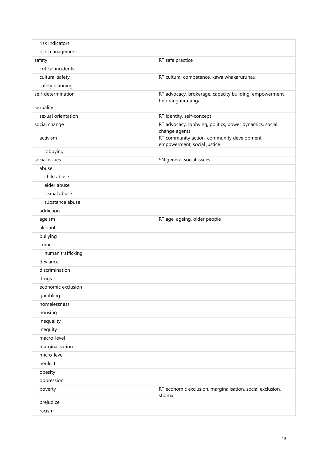| risk indicators    |                                                                                |
|--------------------|--------------------------------------------------------------------------------|
| risk management    |                                                                                |
| safety             | RT safe practice                                                               |
| critical incidents |                                                                                |
| cultural safety    | RT cultural competence, kawa whakaruruhau                                      |
| safety planning    |                                                                                |
| self-determination | RT advocacy, brokerage, capacity building, empowerment,<br>tino rangatiratanga |
| sexuality          |                                                                                |
| sexual orientation | RT identity, self-concept                                                      |
| social change      | RT advocacy, lobbying, politics, power dynamics, social<br>change agents       |
| activism           | RT community action, community development,                                    |
| lobbying           | empowerment, social justice                                                    |
| social issues      | SN general social issues                                                       |
| abuse              |                                                                                |
| child abuse        |                                                                                |
| elder abuse        |                                                                                |
| sexual abuse       |                                                                                |
| substance abuse    |                                                                                |
| addiction          |                                                                                |
| ageism             | RT age, ageing, older people                                                   |
| alcohol            |                                                                                |
| bullying           |                                                                                |
| crime              |                                                                                |
| human trafficking  |                                                                                |
| deviance           |                                                                                |
| discrimination     |                                                                                |
| drugs              |                                                                                |
| economic exclusion |                                                                                |
| gambling           |                                                                                |
| homelessness       |                                                                                |
| housing            |                                                                                |
| inequality         |                                                                                |
| inequity           |                                                                                |
| macro-level        |                                                                                |
| marginalisation    |                                                                                |
| micro-level        |                                                                                |
| neglect            |                                                                                |
| obesity            |                                                                                |
| oppression         |                                                                                |
| poverty            | RT economic exclusion, marginalisation, social exclusion,<br>stigma            |
| prejudice          |                                                                                |
| racism             |                                                                                |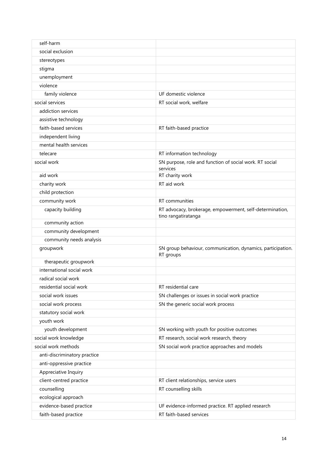| self-harm                    |                                                                                 |
|------------------------------|---------------------------------------------------------------------------------|
| social exclusion             |                                                                                 |
| stereotypes                  |                                                                                 |
| stigma                       |                                                                                 |
| unemployment                 |                                                                                 |
| violence                     |                                                                                 |
| family violence              | UF domestic violence                                                            |
| social services              | RT social work, welfare                                                         |
| addiction services           |                                                                                 |
| assistive technology         |                                                                                 |
| faith-based services         | RT faith-based practice                                                         |
| independent living           |                                                                                 |
| mental health services       |                                                                                 |
| telecare                     | RT information technology                                                       |
| social work                  | SN purpose, role and function of social work. RT social                         |
|                              | services                                                                        |
| aid work                     | RT charity work                                                                 |
| charity work                 | RT aid work                                                                     |
| child protection             |                                                                                 |
| community work               | RT communities                                                                  |
| capacity building            | RT advocacy, brokerage, empowerment, self-determination,<br>tino rangatiratanga |
| community action             |                                                                                 |
| community development        |                                                                                 |
| community needs analysis     |                                                                                 |
| groupwork                    | SN group behaviour, communication, dynamics, participation.<br>RT groups        |
| therapeutic groupwork        |                                                                                 |
| international social work    |                                                                                 |
| radical social work          |                                                                                 |
| residential social work      | RT residential care                                                             |
| social work issues           | SN challenges or issues in social work practice                                 |
| social work process          | SN the generic social work process                                              |
| statutory social work        |                                                                                 |
| youth work                   |                                                                                 |
| youth development            | SN working with youth for positive outcomes                                     |
| social work knowledge        | RT research, social work research, theory                                       |
| social work methods          | SN social work practice approaches and models                                   |
| anti-discriminatory practice |                                                                                 |
| anti-oppressive practice     |                                                                                 |
| Appreciative Inquiry         |                                                                                 |
| client-centred practice      | RT client relationships, service users                                          |
| counselling                  | RT counselling skills                                                           |
| ecological approach          |                                                                                 |
| evidence-based practice      | UF evidence-informed practice. RT applied research                              |
| faith-based practice         | RT faith-based services                                                         |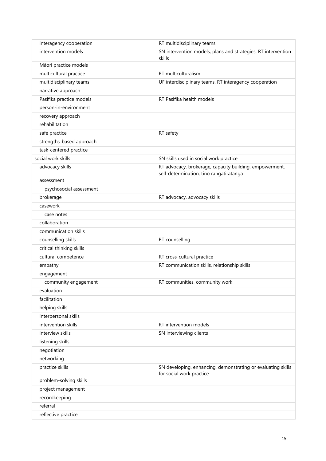| interagency cooperation  | RT multidisciplinary teams                                                                         |
|--------------------------|----------------------------------------------------------------------------------------------------|
| intervention models      | SN intervention models, plans and strategies. RT intervention<br>skills                            |
| Māori practice models    |                                                                                                    |
| multicultural practice   | RT multiculturalism                                                                                |
| multidisciplinary teams  | UF interdisciplinary teams. RT interagency cooperation                                             |
| narrative approach       |                                                                                                    |
| Pasifika practice models | RT Pasifika health models                                                                          |
| person-in-environment    |                                                                                                    |
| recovery approach        |                                                                                                    |
| rehabilitation           |                                                                                                    |
| safe practice            | RT safety                                                                                          |
| strengths-based approach |                                                                                                    |
| task-centered practice   |                                                                                                    |
| social work skills       | SN skills used in social work practice                                                             |
| advocacy skills          | RT advocacy, brokerage, capacity building, empowerment,<br>self-determination, tino rangatiratanga |
| assessment               |                                                                                                    |
| psychosocial assessment  |                                                                                                    |
| brokerage                | RT advocacy, advocacy skills                                                                       |
| casework                 |                                                                                                    |
| case notes               |                                                                                                    |
| collaboration            |                                                                                                    |
| communication skills     |                                                                                                    |
| counselling skills       | RT counselling                                                                                     |
| critical thinking skills |                                                                                                    |
| cultural competence      | RT cross-cultural practice                                                                         |
| empathy                  | RT communication skills, relationship skills                                                       |
| engagement               |                                                                                                    |
| community engagement     | RT communities, community work                                                                     |
| evaluation               |                                                                                                    |
| facilitation             |                                                                                                    |
| helping skills           |                                                                                                    |
| interpersonal skills     |                                                                                                    |
| intervention skills      | RT intervention models                                                                             |
| interview skills         | SN interviewing clients                                                                            |
| listening skills         |                                                                                                    |
| negotiation              |                                                                                                    |
| networking               |                                                                                                    |
| practice skills          | SN developing, enhancing, demonstrating or evaluating skills<br>for social work practice           |
| problem-solving skills   |                                                                                                    |
| project management       |                                                                                                    |
| recordkeeping            |                                                                                                    |
| referral                 |                                                                                                    |
| reflective practice      |                                                                                                    |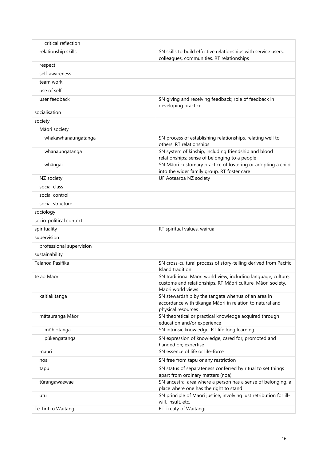| critical reflection      |                                                                                                                                                   |
|--------------------------|---------------------------------------------------------------------------------------------------------------------------------------------------|
| relationship skills      | SN skills to build effective relationships with service users,                                                                                    |
|                          | colleagues, communities. RT relationships                                                                                                         |
| respect                  |                                                                                                                                                   |
| self-awareness           |                                                                                                                                                   |
| team work                |                                                                                                                                                   |
| use of self              |                                                                                                                                                   |
| user feedback            | SN giving and receiving feedback; role of feedback in<br>developing practice                                                                      |
| socialisation            |                                                                                                                                                   |
| society                  |                                                                                                                                                   |
| Māori society            |                                                                                                                                                   |
| whakawhanaungatanga      | SN process of establishing relationships, relating well to<br>others. RT relationships                                                            |
| whanaungatanga           | SN system of kinship, including friendship and blood<br>relationships; sense of belonging to a people                                             |
| whāngai                  | SN Māori customary practice of fostering or adopting a child<br>into the wider family group. RT foster care                                       |
| NZ society               | UF Aotearoa NZ society                                                                                                                            |
| social class             |                                                                                                                                                   |
| social control           |                                                                                                                                                   |
| social structure         |                                                                                                                                                   |
| sociology                |                                                                                                                                                   |
| socio-political context  |                                                                                                                                                   |
| spirituality             | RT spiritual values, wairua                                                                                                                       |
| supervision              |                                                                                                                                                   |
| professional supervision |                                                                                                                                                   |
| sustainability           |                                                                                                                                                   |
| Talanoa Pasifika         | SN cross-cultural process of story-telling derived from Pacific<br>Island tradition                                                               |
| te ao Māori              | SN traditional Māori world view, including language, culture,<br>customs and relationships. RT Māori culture, Māori society,<br>Māori world views |
| kaitiakitanga            | SN stewardship by the tangata whenua of an area in<br>accordance with tikanga Māori in relation to natural and<br>physical resources              |
| mātauranga Māori         | SN theoretical or practical knowledge acquired through<br>education and/or experience                                                             |
| mōhiotanga               | SN intrinsic knowledge. RT life long learning                                                                                                     |
| pūkengatanga             | SN expression of knowledge, cared for, promoted and<br>handed on; expertise                                                                       |
| mauri                    | SN essence of life or life-force                                                                                                                  |
| noa                      | SN free from tapu or any restriction                                                                                                              |
| tapu                     | SN status of separateness conferred by ritual to set things<br>apart from ordinary matters (noa)                                                  |
| tūrangawaewae            | SN ancestral area where a person has a sense of belonging, a<br>place where one has the right to stand                                            |
| utu                      | SN principle of Māori justice, involving just retribution for ill-<br>will, insult, etc.                                                          |
| Te Tiriti o Waitangi     | RT Treaty of Waitangi                                                                                                                             |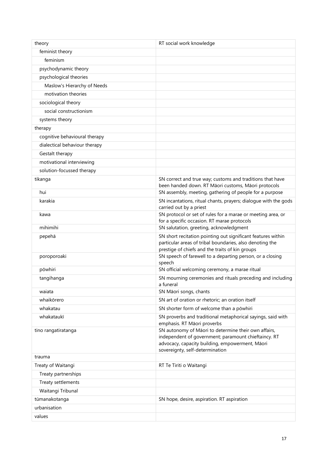| theory                        | RT social work knowledge                                                                                                                                                                           |
|-------------------------------|----------------------------------------------------------------------------------------------------------------------------------------------------------------------------------------------------|
| feminist theory               |                                                                                                                                                                                                    |
| feminism                      |                                                                                                                                                                                                    |
| psychodynamic theory          |                                                                                                                                                                                                    |
| psychological theories        |                                                                                                                                                                                                    |
| Maslow's Hierarchy of Needs   |                                                                                                                                                                                                    |
| motivation theories           |                                                                                                                                                                                                    |
| sociological theory           |                                                                                                                                                                                                    |
| social constructionism        |                                                                                                                                                                                                    |
| systems theory                |                                                                                                                                                                                                    |
| therapy                       |                                                                                                                                                                                                    |
| cognitive behavioural therapy |                                                                                                                                                                                                    |
| dialectical behaviour therapy |                                                                                                                                                                                                    |
| Gestalt therapy               |                                                                                                                                                                                                    |
| motivational interviewing     |                                                                                                                                                                                                    |
| solution-focussed therapy     |                                                                                                                                                                                                    |
| tikanga                       | SN correct and true way; customs and traditions that have                                                                                                                                          |
|                               | been handed down. RT Māori customs, Māori protocols                                                                                                                                                |
| hui                           | SN assembly, meeting, gathering of people for a purpose                                                                                                                                            |
| karakia                       | SN incantations, ritual chants, prayers; dialogue with the gods<br>carried out by a priest                                                                                                         |
| kawa                          | SN protocol or set of rules for a marae or meeting area, or<br>for a specific occasion. RT marae protocols                                                                                         |
| mihimihi                      | SN salutation, greeting, acknowledgment                                                                                                                                                            |
| pepehā                        | SN short recitation pointing out significant features within<br>particular areas of tribal boundaries, also denoting the<br>prestige of chiefs and the traits of kin groups                        |
| poroporoaki                   | SN speech of farewell to a departing person, or a closing<br>speech                                                                                                                                |
| pōwhiri                       | SN official welcoming ceremony, a marae ritual                                                                                                                                                     |
| tangihanga                    | SN mourning ceremonies and rituals preceding and including<br>a funeral                                                                                                                            |
| waiata                        | SN Māori songs, chants                                                                                                                                                                             |
| whaikōrero                    | SN art of oration or rhetoric; an oration itself                                                                                                                                                   |
| whakatau                      | SN shorter form of welcome than a powhiri                                                                                                                                                          |
| whakataukī                    | SN proverbs and traditional metaphorical sayings, said with<br>emphasis. RT Māori proverbs                                                                                                         |
| tino rangatiratanga           | SN autonomy of Māori to determine their own affairs,<br>independent of government; paramount chieftaincy. RT<br>advocacy, capacity building, empowerment, Māori<br>sovereignty, self-determination |
| trauma                        |                                                                                                                                                                                                    |
| Treaty of Waitangi            | RT Te Tiriti o Waitangi                                                                                                                                                                            |
| Treaty partnerships           |                                                                                                                                                                                                    |
| Treaty settlements            |                                                                                                                                                                                                    |
| Waitangi Tribunal             |                                                                                                                                                                                                    |
| tūmanakotanga                 | SN hope, desire, aspiration. RT aspiration                                                                                                                                                         |
| urbanisation                  |                                                                                                                                                                                                    |
| values                        |                                                                                                                                                                                                    |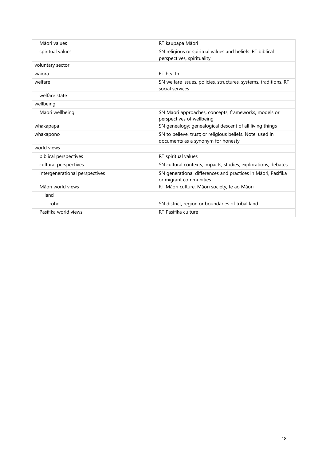| Māori values                   | RT kaupapa Māori                                                                                |
|--------------------------------|-------------------------------------------------------------------------------------------------|
| spiritual values               | SN religious or spiritual values and beliefs. RT biblical<br>perspectives, spirituality         |
| voluntary sector               |                                                                                                 |
| waiora                         | RT health                                                                                       |
| welfare                        | SN welfare issues, policies, structures, systems, traditions. RT<br>social services             |
| welfare state                  |                                                                                                 |
| wellbeing                      |                                                                                                 |
| Māori wellbeing                | SN Māori approaches, concepts, frameworks, models or<br>perspectives of wellbeing               |
| whakapapa                      | SN genealogy; genealogical descent of all living things                                         |
| whakapono                      | SN to believe, trust; or religious beliefs. Note: used in<br>documents as a synonym for honesty |
| world views                    |                                                                                                 |
| biblical perspectives          | RT spiritual values                                                                             |
| cultural perspectives          | SN cultural contexts, impacts, studies, explorations, debates                                   |
| intergenerational perspectives | SN generational differences and practices in Māori, Pasifika<br>or migrant communities          |
| Māori world views              | RT Māori culture, Māori society, te ao Māori                                                    |
| land                           |                                                                                                 |
| rohe                           | SN district, region or boundaries of tribal land                                                |
| Pasifika world views           | RT Pasifika culture                                                                             |